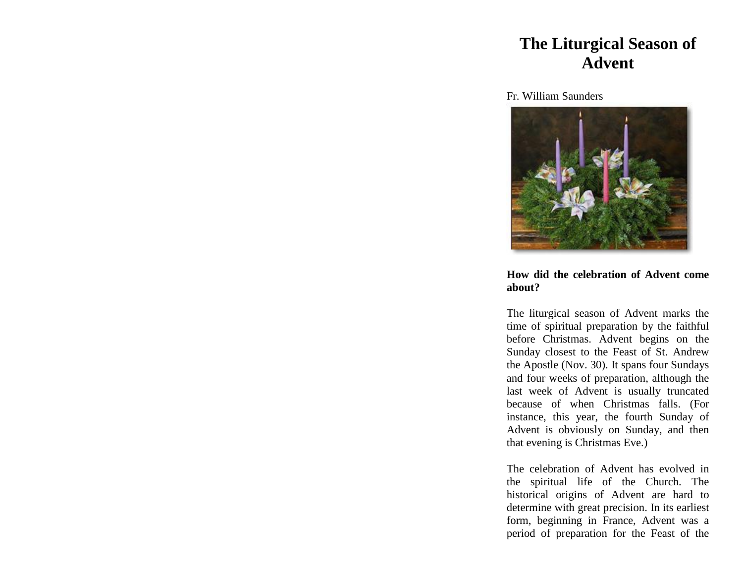## **The Liturgical Season of Advent**

Fr. William Saunders



## **How did the celebration of Advent come about?**

The liturgical season of Advent marks the time of spiritual preparation by the faithful before Christmas. Advent begins on the Sunday closest to the Feast of St. Andrew the Apostle (Nov. 30). It spans four Sundays and four weeks of preparation, although the last week of Advent is usually truncated because of when Christmas falls. (For instance, this year, the fourth Sunday of Advent is obviously on Sunday, and then that evening is Christmas Eve.)

The celebration of Advent has evolved in the spiritual life of the Church. The historical origins of Advent are hard to determine with great precision. In its earliest form, beginning in France, Advent was a period of preparation for the Feast of the